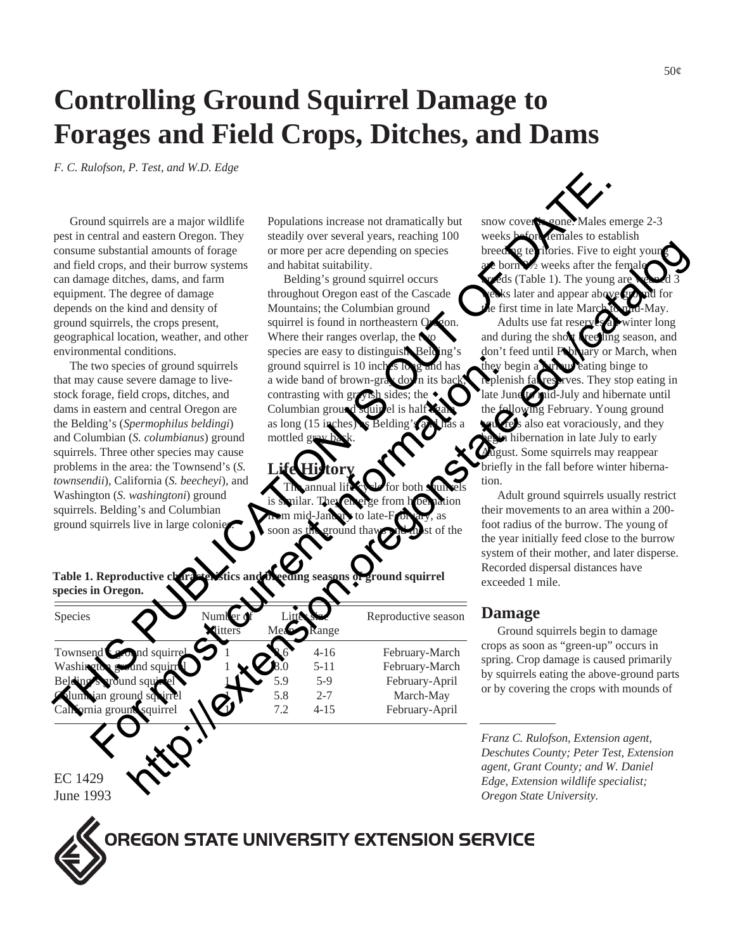# **Controlling Ground Squirrel Damage to Forages and Field Crops, Ditches, and Dams**

*F. C. Rulofson, P. Test, and W.D. Edge*

| Ground squirrels are a major wildlife<br>pest in central and eastern Oregon. They<br>consume substantial amounts of forage<br>and field crops, and their burrow systems<br>can damage ditches, dams, and farm<br>equipment. The degree of damage<br>depends on the kind and density of<br>ground squirrels, the crops present,<br>geographical location, weather, and other<br>environmental conditions.<br>The two species of ground squirrels<br>that may cause severe damage to live-<br>stock forage, field crops, ditches, and<br>dams in eastern and central Oregon are<br>the Belding's (Spermophilus beldingi)<br>and Columbian (S. columbianus) ground<br>squirrels. Three other species may cause<br>problems in the area: the Townsend's (S.<br>townsendii), California (S. beecheyi), and<br>Washington (S. washingtoni) ground<br>squirrels. Belding's and Columbian<br>ground squirrels live in large colonies | Populations increase not dramatically but<br>steadily over several years, reaching 100<br>or more per acre depending on species<br>and habitat suitability.<br>Belding's ground squirrel occurs<br>throughout Oregon east of the Cascade<br>Mountains; the Columbian ground<br>squirrel is found in northeastern Oxyon.<br>Where their ranges overlap, the $\triangle$<br>species are easy to distinguish Belding's<br>ground squirrel is 10 inches long<br>and has<br>a wide band of brown-gray down its bac<br>contrasting with grayish sides; the<br>Columbian ground squir<br>as long (15 inches) s Belding's a<br>mottled grov ba<br>annual life<br>or both <b>s</b><br>They en<br>beination<br>n mid-Jandery<br>∙to late-F<br>as<br>of the<br>ground tha<br>soon as | snow cover is cone. Males emerge 2-3<br>weeks before remales to establish<br>breeding territories. Five to eight youn<br>are born %/2 weeks after the female<br>reds (Table 1). The young are<br>ks later and appear above ground<br>e first time in late March to und-May.<br>Adults use fat reserves winter long<br>and during the show reeling season, and<br>don't feed until February or March, when<br>they begin a <b>Nine we</b> eating binge to<br>replenish fat reserves. They stop eating in<br>late June to mid-July and hibernate until<br>the following February. Young ground<br>pures also eat voraciously, and they<br>in hibernation in late July to early<br>August. Some squirrels may reappear<br>briefly in the fall before winter hiberna-<br>tion.<br>Adult ground squirrels usually restrict<br>their movements to an area within a 200-<br>foot radius of the burrow. The young of<br>the year initially feed close to the burrow<br>system of their mother, and later disperse.<br>Recorded dispersal distances have |
|------------------------------------------------------------------------------------------------------------------------------------------------------------------------------------------------------------------------------------------------------------------------------------------------------------------------------------------------------------------------------------------------------------------------------------------------------------------------------------------------------------------------------------------------------------------------------------------------------------------------------------------------------------------------------------------------------------------------------------------------------------------------------------------------------------------------------------------------------------------------------------------------------------------------------|---------------------------------------------------------------------------------------------------------------------------------------------------------------------------------------------------------------------------------------------------------------------------------------------------------------------------------------------------------------------------------------------------------------------------------------------------------------------------------------------------------------------------------------------------------------------------------------------------------------------------------------------------------------------------------------------------------------------------------------------------------------------------|-------------------------------------------------------------------------------------------------------------------------------------------------------------------------------------------------------------------------------------------------------------------------------------------------------------------------------------------------------------------------------------------------------------------------------------------------------------------------------------------------------------------------------------------------------------------------------------------------------------------------------------------------------------------------------------------------------------------------------------------------------------------------------------------------------------------------------------------------------------------------------------------------------------------------------------------------------------------------------------------------------------------------------------------------|
| Table 1. Reproductive chara<br>species in Oregon.                                                                                                                                                                                                                                                                                                                                                                                                                                                                                                                                                                                                                                                                                                                                                                                                                                                                            | ground squirrel<br>g seasons o                                                                                                                                                                                                                                                                                                                                                                                                                                                                                                                                                                                                                                                                                                                                            | exceeded 1 mile.                                                                                                                                                                                                                                                                                                                                                                                                                                                                                                                                                                                                                                                                                                                                                                                                                                                                                                                                                                                                                                |
| Species<br>ditters                                                                                                                                                                                                                                                                                                                                                                                                                                                                                                                                                                                                                                                                                                                                                                                                                                                                                                           | Reproductive season<br>ange                                                                                                                                                                                                                                                                                                                                                                                                                                                                                                                                                                                                                                                                                                                                               | <b>Damage</b><br>Ground squirrels begin to damage                                                                                                                                                                                                                                                                                                                                                                                                                                                                                                                                                                                                                                                                                                                                                                                                                                                                                                                                                                                               |
| Townsend's cound squirre<br>Washington<br>and squirr<br>round sau<br>dum vian ground sq<br>California ground squirrel                                                                                                                                                                                                                                                                                                                                                                                                                                                                                                                                                                                                                                                                                                                                                                                                        | $4 - 16$<br>February-March<br>$5 - 11$<br>February-March<br>$5-9$<br>February-April<br>5.8<br>$2 - 7$<br>March-May<br>7.2<br>$4 - 15$<br>February-April                                                                                                                                                                                                                                                                                                                                                                                                                                                                                                                                                                                                                   | crops as soon as "green-up" occurs in<br>spring. Crop damage is caused primarily<br>by squirrels eating the above-ground parts<br>or by covering the crops with mounds of                                                                                                                                                                                                                                                                                                                                                                                                                                                                                                                                                                                                                                                                                                                                                                                                                                                                       |
| EC 1429<br>$I_{\text{max}}$ 1002                                                                                                                                                                                                                                                                                                                                                                                                                                                                                                                                                                                                                                                                                                                                                                                                                                                                                             |                                                                                                                                                                                                                                                                                                                                                                                                                                                                                                                                                                                                                                                                                                                                                                           | Franz C. Rulofson, Extension agent,<br>Deschutes County; Peter Test, Extension<br>agent, Grant County; and W. Daniel<br>Edge, Extension wildlife specialist;<br>Quesso Chapel Hainsmith                                                                                                                                                                                                                                                                                                                                                                                                                                                                                                                                                                                                                                                                                                                                                                                                                                                         |

#### **Damage**

*Franz C. Rulofson, Extension agent, Deschutes County; Peter Test, Extension agent, Grant County; and W. Daniel Edge, Extension wildlife specialist; Oregon State University.*

EC 1429 June 1993

**OREGON STATE UNIVERSITY EXTENSION SERVICE**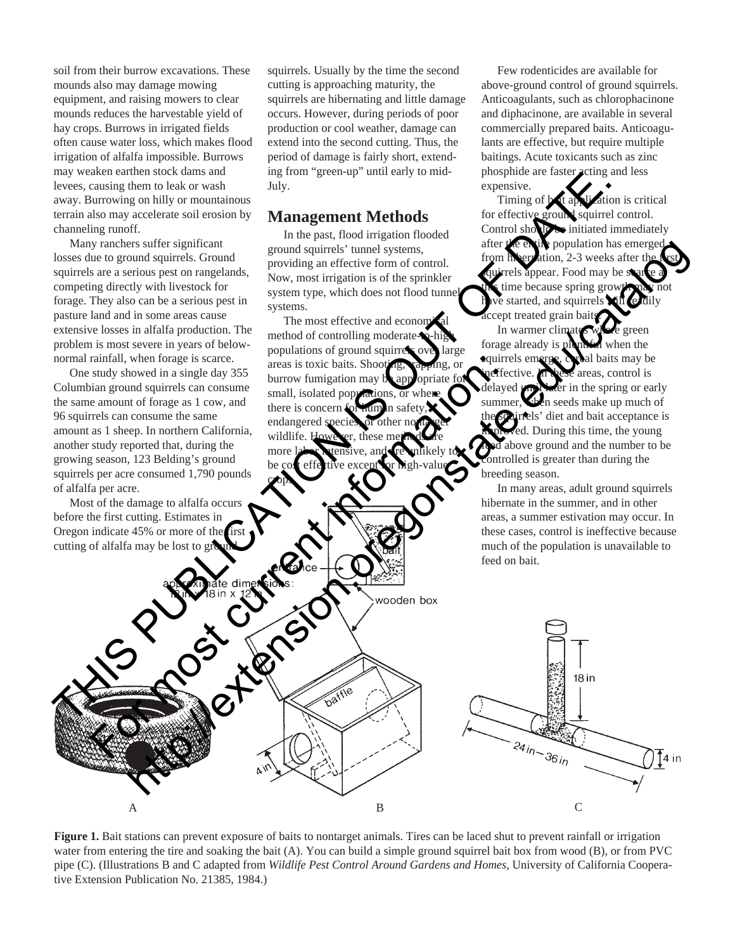soil from their burrow excavations. These mounds also may damage mowing equipment, and raising mowers to clear mounds reduces the harvestable yield of hay crops. Burrows in irrigated fields often cause water loss, which makes flood irrigation of alfalfa impossible. Burrows may weaken earthen stock dams and levees, causing them to leak or wash away. Burrowing on hilly or mountainous terrain also may accelerate soil erosion by channeling runoff.

Many ranchers suffer significant losses due to ground squirrels. Ground squirrels are a serious pest on rangelands, competing directly with livestock for forage. They also can be a serious pest in pasture land and in some areas cause extensive losses in alfalfa production. The problem is most severe in years of belownormal rainfall, when forage is scarce.

One study showed in a single day 355 Columbian ground squirrels can consume the same amount of forage as 1 cow, and 96 squirrels can consume the same amount as 1 sheep. In northern California, another study reported that, during the growing season, 123 Belding's ground squirrels per acre consumed 1,790 pounds of alfalfa per acre.

Most of the damage to alfalfa occurs before the first cutting. Estimates in Oregon indicate 45% or more of the first cutting of alfalfa may be lost to gro

squirrels. Usually by the time the second cutting is approaching maturity, the squirrels are hibernating and little damage occurs. However, during periods of poor production or cool weather, damage can extend into the second cutting. Thus, the period of damage is fairly short, extending from "green-up" until early to mid-July.

#### **Management Methods**

In the past, flood irrigation flooded ground squirrels' tunnel systems, providing an effective form of control. Now, most irrigation is of the sprinkler system type, which does not flood tunnel systems.

The most effective and economical method of controlling moderatepopulations of ground squirrels over large areas is toxic baits. Shooting, trapping, or burrow fumigation may b small, isolated populations, or there is concern endangered speci wildlife. more labor **h** tensive, and **re** unlikely to be cost effective except for high-value Every treated grain the columbing in the state of the state of the state of the state of the state of the state of the state of the state of the state of the state of the state of the state of the state of the state of th

crops.

Few rodenticides are available for above-ground control of ground squirrels. Anticoagulants, such as chlorophacinone and diphacinone, are available in several commercially prepared baits. Anticoagulants are effective, but require multiple baitings. Acute toxicants such as zinc phosphide are faster acting and less expensive.

Timing of **b**<sub>it</sub> application is critical for effective ground squirrel control. Control should be initiated immediately after the entire population has emerged from hivernation, 2-3 weeks after the quirrels appear. Food may be so time because spring grow  $ve$  started, and squirrels  $\mathbf{\hat{v}}$ accept treated grain baits.

In warmer climates who e green forage already is plentiful when the squirrels emerge, cereal baits may be ineffective. In these areas, control is delayed until later in the spring or early summer, when seeds make up much of dirrels' diet and bait acceptance is During this time, the young above ground and the number to be controlled is greater than during the breeding season.

In many areas, adult ground squirrels hibernate in the summer, and in other areas, a summer estivation may occur. In these cases, control is ineffective because much of the population is unavailable to feed on bait.



**Figure 1.** Bait stations can prevent exposure of baits to nontarget animals. Tires can be laced shut to prevent rainfall or irrigation water from entering the tire and soaking the bait (A). You can build a simple ground squirrel bait box from wood (B), or from PVC pipe (C). (Illustrations B and C adapted from *Wildlife Pest Control Around Gardens and Homes,* University of California Cooperative Extension Publication No. 21385, 1984.)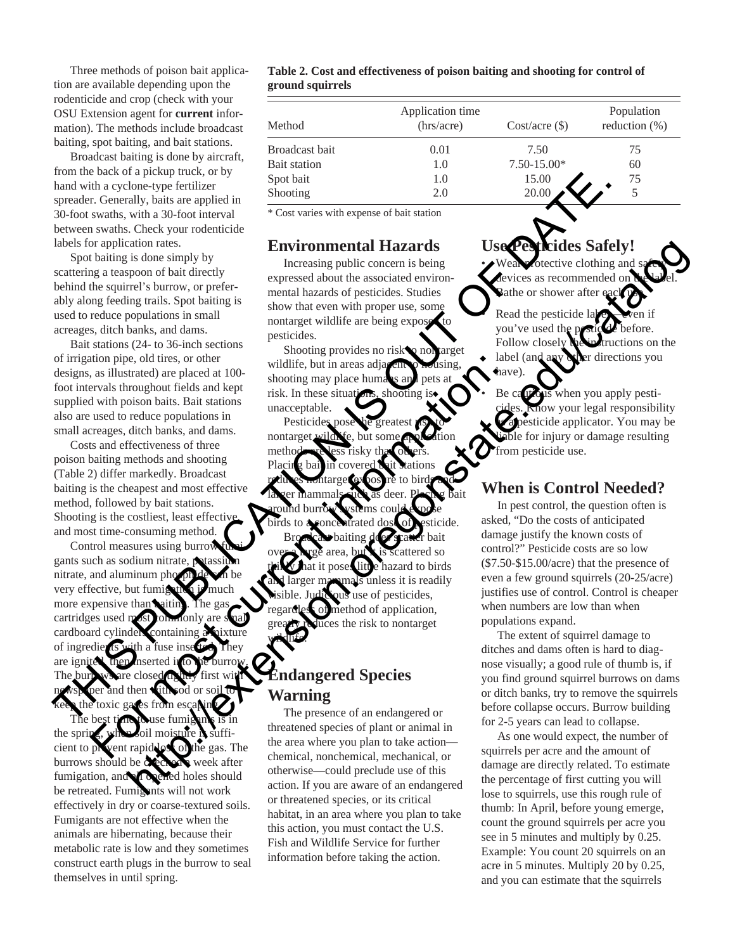Three methods of poison bait application are available depending upon the rodenticide and crop (check with your OSU Extension agent for **current** information). The methods include broadcast baiting, spot baiting, and bait stations.

Broadcast baiting is done by aircraft, from the back of a pickup truck, or by hand with a cyclone-type fertilizer spreader. Generally, baits are applied in 30-foot swaths, with a 30-foot interval between swaths. Check your rodenticide labels for application rates.

Spot baiting is done simply by scattering a teaspoon of bait directly behind the squirrel's burrow, or preferably along feeding trails. Spot baiting is used to reduce populations in small acreages, ditch banks, and dams.

Bait stations (24- to 36-inch sections of irrigation pipe, old tires, or other designs, as illustrated) are placed at 100 foot intervals throughout fields and kept supplied with poison baits. Bait stations also are used to reduce populations in small acreages, ditch banks, and dams.

Costs and effectiveness of three poison baiting methods and shooting (Table 2) differ markedly. Broadcast baiting is the cheapest and most effective method, followed by bait stations. Shooting is the costliest, least effective and most time-consuming method.

Control measures using burrow gants such as sodium nitrate, potassi nitrate, and aluminum phosph very effective, but fumig more expensive than **baiting**. The ga cartridges used most commonly are cardboard cylinders containing a mixture of ingredients with a fuse insert are igni The bur newspaper and then with sod or soil to keep the toxic gases from escaping. In the both of place is a specified will constrained by the control of place is a specified by the control of the specified by the control of the specified by the control of the specified by the control of the specified b to the current of the current of the current of the current and solid and  $\mathbf{F}$  and  $\mathbf{F}$  and  $\mathbf{F}$  and  $\mathbf{F}$  and  $\mathbf{F}$  and  $\mathbf{F}$  and  $\mathbf{F}$  and  $\mathbf{F}$  and  $\mathbf{F}$  and  $\mathbf{F}$  and  $\mathbf{F}$  and  $\mathbf$ 

The best time to use fumigants is in the spring cient to prevent rapid loss of the gas. The burrows should be checked week after fumigation, and all opened holes should be retreated. Fumigants will not work effectively in dry or coarse-textured soils. Fumigants are not effective when the animals are hibernating, because their metabolic rate is low and they sometimes construct earth plugs in the burrow to seal themselves in until spring.

#### **Table 2. Cost and effectiveness of poison baiting and shooting for control of ground squirrels**

| Method         | Application time<br>(hrs/acre) | $Cost/acre (\$)$ | Population<br>reduction $(\%)$ |
|----------------|--------------------------------|------------------|--------------------------------|
| Broadcast bait | 0.01                           | 7.50             | 75                             |
| Bait station   | 1.0                            | $7.50 - 15.00*$  | 60                             |
| Spot bait      | 1.0                            | 15.00            | 75                             |
| Shooting       | 2.0                            | 20.00            |                                |

\* Cost varies with expense of bait station

#### **Environmental Hazards**

Increasing public concern is being expressed about the associated environmental hazards of pesticides. Studies show that even with proper use, some nontarget wildlife are being exposed to pesticides.

Shooting provides no risk to nontarget wildlife, but in areas adjacent to housing shooting may place humans and risk. In these situations, shooting unacceptable.

Pesticides nontarget wildlife, but some application methods are less risky than others. Placing bail in covered bait stations reduces nontarget exposure to birds and la ver mammals such as deer. Placing bait around burrow systems could expose birds to a concentrated dose of esticide.

Broadcast baiting does spatter bait ttered so azard to birds unless it is readily use of pesticides, method of application, greater risk to nontarget wildlife.

### **Endangered Species Warning**

The presence of an endangered or threatened species of plant or animal in the area where you plan to take action chemical, nonchemical, mechanical, or otherwise—could preclude use of this action. If you are aware of an endangered or threatened species, or its critical habitat, in an area where you plan to take this action, you must contact the U.S. Fish and Wildlife Service for further information before taking the action.

# **S** Safely!

bective clothing and devices as recommended. Bathe or shower after

Read the pesticide you've used the Follow closely the instructions on the label (and any other directions you have)

Be cautious when you apply pestilow your legal responsibility a pesticide applicator. You may be ble for injury or damage resulting from pesticide use.

# **When is Control Needed?**

In pest control, the question often is asked, "Do the costs of anticipated damage justify the known costs of control?" Pesticide costs are so low (\$7.50-\$15.00/acre) that the presence of even a few ground squirrels (20-25/acre) justifies use of control. Control is cheaper when numbers are low than when populations expand. For the control of the control of the control of the control of the control of the control of the control of the control of the control of the control of the control of the control of the control of the control of the con

The extent of squirrel damage to ditches and dams often is hard to diagnose visually; a good rule of thumb is, if you find ground squirrel burrows on dams or ditch banks, try to remove the squirrels before collapse occurs. Burrow building for 2-5 years can lead to collapse.

As one would expect, the number of squirrels per acre and the amount of damage are directly related. To estimate the percentage of first cutting you will lose to squirrels, use this rough rule of thumb: In April, before young emerge, count the ground squirrels per acre you see in 5 minutes and multiply by 0.25. Example: You count 20 squirrels on an acre in 5 minutes. Multiply 20 by 0.25, and you can estimate that the squirrels